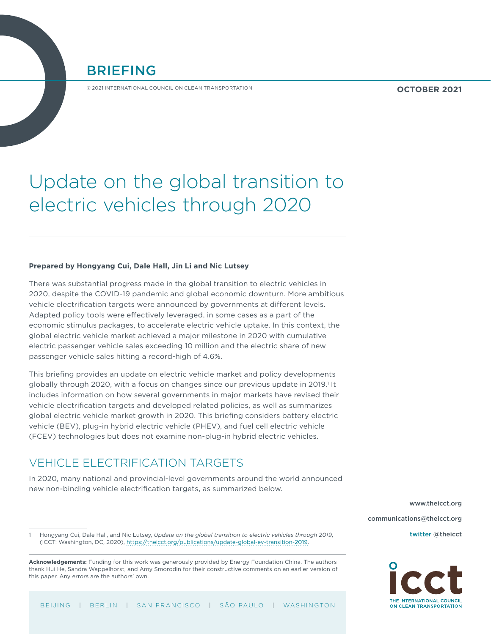BRIEFING

© 2021 INTERNATIONAL COUNCIL ON CLEAN TRANSPORTATION

**OCTOBER 2021**

# Update on the global transition to electric vehicles through 2020

#### **Prepared by Hongyang Cui, Dale Hall, Jin Li and Nic Lutsey**

There was substantial progress made in the global transition to electric vehicles in 2020, despite the COVID-19 pandemic and global economic downturn. More ambitious vehicle electrification targets were announced by governments at different levels. Adapted policy tools were effectively leveraged, in some cases as a part of the economic stimulus packages, to accelerate electric vehicle uptake. In this context, the global electric vehicle market achieved a major milestone in 2020 with cumulative electric passenger vehicle sales exceeding 10 million and the electric share of new passenger vehicle sales hitting a record-high of 4.6%.

This briefing provides an update on electric vehicle market and policy developments globally through 2020, with a focus on changes since our previous update in 2019.<sup>1</sup> It includes information on how several governments in major markets have revised their vehicle electrification targets and developed related policies, as well as summarizes global electric vehicle market growth in 2020. This briefing considers battery electric vehicle (BEV), plug-in hybrid electric vehicle (PHEV), and fuel cell electric vehicle (FCEV) technologies but does not examine non-plug-in hybrid electric vehicles.

# VEHICLE ELECTRIFICATION TARGETS

In 2020, many national and provincial-level governments around the world announced new non-binding vehicle electrification targets, as summarized below.

> [www.theicct.org](http://www.theicct.org) [communications@theicct.org](mailto:communications%40theicct.org%20%20%20%20?subject=) twitter @[theicct](https://twitter.com/TheICCT)

1 Hongyang Cui, Dale Hall, and Nic Lutsey, *Update on the global transition to electric vehicles through 2019*, (ICCT: Washington, DC, 2020), [https://theicct.org/publications/update-global-ev-transition-2019.](https://theicct.org/publications/update-global-ev-transition-2019)



**Acknowledgements:** Funding for this work was generously provided by Energy Foundation China. The authors thank Hui He, Sandra Wappelhorst, and Amy Smorodin for their constructive comments on an earlier version of this paper. Any errors are the authors' own.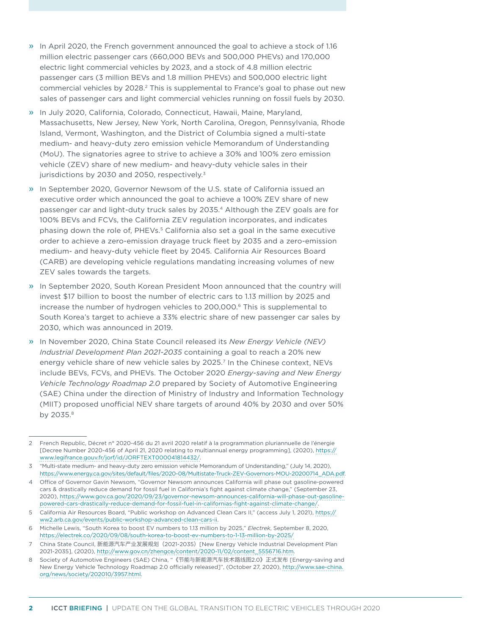- » In April 2020, the French government announced the goal to achieve a stock of 1.16 million electric passenger cars (660,000 BEVs and 500,000 PHEVs) and 170,000 electric light commercial vehicles by 2023, and a stock of 4.8 million electric passenger cars (3 million BEVs and 1.8 million PHEVs) and 500,000 electric light commercial vehicles by 2028.<sup>2</sup> This is supplemental to France's goal to phase out new sales of passenger cars and light commercial vehicles running on fossil fuels by 2030.
- » In July 2020, California, Colorado, Connecticut, Hawaii, Maine, Maryland, Massachusetts, New Jersey, New York, North Carolina, Oregon, Pennsylvania, Rhode Island, Vermont, Washington, and the District of Columbia signed a multi-state medium- and heavy-duty zero emission vehicle Memorandum of Understanding (MoU). The signatories agree to strive to achieve a 30% and 100% zero emission vehicle (ZEV) share of new medium- and heavy-duty vehicle sales in their jurisdictions by 2030 and 2050, respectively.<sup>3</sup>
- » In September 2020, Governor Newsom of the U.S. state of California issued an executive order which announced the goal to achieve a 100% ZEV share of new passenger car and light-duty truck sales by 2035.4 Although the ZEV goals are for 100% BEVs and FCVs, the California ZEV regulation incorporates, and indicates phasing down the role of, PHEVs.5 California also set a goal in the same executive order to achieve a zero-emission drayage truck fleet by 2035 and a zero-emission medium- and heavy-duty vehicle fleet by 2045. California Air Resources Board (CARB) are developing vehicle regulations mandating increasing volumes of new ZEV sales towards the targets.
- » In September 2020, South Korean President Moon announced that the country will invest \$17 billion to boost the number of electric cars to 1.13 million by 2025 and increase the number of hydrogen vehicles to 200,000.6 This is supplemental to South Korea's target to achieve a 33% electric share of new passenger car sales by 2030, which was announced in 2019.
- » In November 2020, China State Council released its *New Energy Vehicle (NEV) Industrial Development Plan 2021-2035* containing a goal to reach a 20% new energy vehicle share of new vehicle sales by 2025.<sup>7</sup> In the Chinese context, NEVs include BEVs, FCVs, and PHEVs. The October 2020 *Energy-saving and New Energy Vehicle Technology Roadmap 2.0* prepared by Society of Automotive Engineering (SAE) China under the direction of Ministry of Industry and Information Technology (MIIT) proposed unofficial NEV share targets of around 40% by 2030 and over 50% by 2035.8

<sup>2</sup> French Republic, Décret n° 2020-456 du 21 avril 2020 relatif à la programmation pluriannuelle de l'énergie [Decree Number 2020-456 of April 21, 2020 relating to multiannual energy programming], (2020), [https://](https://www.legifrance.gouv.fr/jorf/id/JORFTEXT000041814432/) [www.legifrance.gouv.fr/jorf/id/JORFTEXT000041814432/](https://www.legifrance.gouv.fr/jorf/id/JORFTEXT000041814432/).

<sup>3</sup> "Multi-state medium- and heavy-duty zero emission vehicle Memorandum of Understanding," (July 14, 2020), [https://www.energy.ca.gov/sites/default/files/2020-08/Multistate-Truck-ZEV-Governors-MOU-20200714\\_ADA.pdf.](https://www.energy.ca.gov/sites/default/files/2020-08/Multistate-Truck-ZEV-Governors-MOU-20200714_ADA.pdf)

<sup>4</sup> Office of Governor Gavin Newsom, "Governor Newsom announces California will phase out gasoline-powered cars & drastically reduce demand for fossil fuel in California's fight against climate change," (September 23, 2020), [https://www.gov.ca.gov/2020/09/23/governor-newsom-announces-california-will-phase-out-gasoline](https://www.gov.ca.gov/2020/09/23/governor-newsom-announces-california-will-phase-out-gasoline-powered-cars-drastically-reduce-demand-for-fossil-fuel-in-californias-fight-against-climate-change/)[powered-cars-drastically-reduce-demand-for-fossil-fuel-in-californias-fight-against-climate-change/](https://www.gov.ca.gov/2020/09/23/governor-newsom-announces-california-will-phase-out-gasoline-powered-cars-drastically-reduce-demand-for-fossil-fuel-in-californias-fight-against-climate-change/).

<sup>5</sup> California Air Resources Board, "Public workshop on Advanced Clean Cars II," (access July 1, 2021), [https://](https://ww2.arb.ca.gov/events/public-workshop-advanced-clean-cars-ii) [ww2.arb.ca.gov/events/public-workshop-advanced-clean-cars-ii](https://ww2.arb.ca.gov/events/public-workshop-advanced-clean-cars-ii).

<sup>6</sup> Michelle Lewis, "South Korea to boost EV numbers to 1.13 million by 2025," *Electrek*, September 8, 2020, https://electrek.co/2020/09/08/south-korea-to-boost-ev-numbers-to-1-13-million-by-2025/

<sup>7</sup> China State Council, 新能源汽车产业发展规划(2021-2035)[New Energy Vehicle Industrial Development Plan 2021-2035], (2020), [http://www.gov.cn/zhengce/content/2020-11/02/content\\_5556716.htm](http://www.gov.cn/zhengce/content/2020-11/02/content_5556716.htm).

<sup>8</sup> Society of Automotive Engineers (SAE) China, "《节能与新能源汽车技术路线图2.0》正式发布 [Energy-saving and New Energy Vehicle Technology Roadmap 2.0 officially released]", (October 27, 2020), [http://www.sae-china.](http://www.sae-china.org/news/society/202010/3957.html) [org/news/society/202010/3957.html.](http://www.sae-china.org/news/society/202010/3957.html)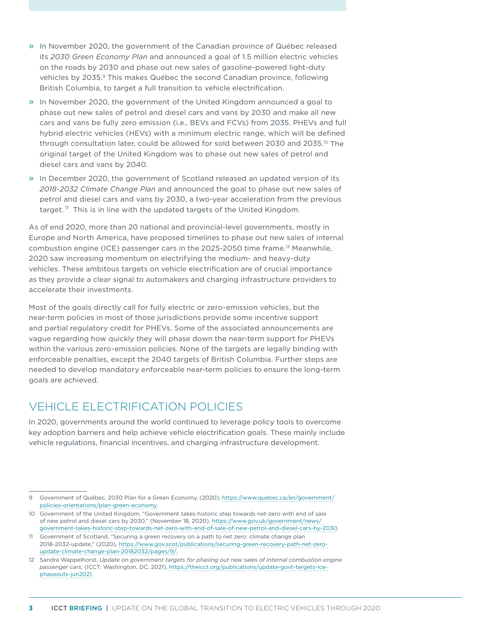- » In November 2020, the government of the Canadian province of Québec released its *2030 Green Economy Plan* and announced a goal of 1.5 million electric vehicles on the roads by 2030 and phase out new sales of gasoline-powered light-duty vehicles by 2035.9 This makes Québec the second Canadian province, following British Columbia, to target a full transition to vehicle electrification.
- » In November 2020, the government of the United Kingdom announced a goal to phase out new sales of petrol and diesel cars and vans by 2030 and make all new cars and vans be fully zero emission (i.e., BEVs and FCVs) from 2035. PHEVs and full hybrid electric vehicles (HEVs) with a minimum electric range, which will be defined through consultation later, could be allowed for sold between 2030 and 2035.10 The original target of the United Kingdom was to phase out new sales of petrol and diesel cars and vans by 2040.
- » In December 2020, the government of Scotland released an updated version of its *2018-2032 Climate Change Plan* and announced the goal to phase out new sales of petrol and diesel cars and vans by 2030, a two-year acceleration from the previous target.<sup>11</sup> This is in line with the updated targets of the United Kingdom.

As of end 2020, more than 20 national and provincial-level governments, mostly in Europe and North America, have proposed timelines to phase out new sales of internal combustion engine (ICE) passenger cars in the 2025-2050 time frame.12 Meanwhile, 2020 saw increasing momentum on electrifying the medium- and heavy-duty vehicles. These ambitous targets on vehicle electrification are of crucial importance as they provide a clear signal to automakers and charging infrastructure providers to accelerate their investments.

Most of the goals directly call for fully electric or zero-emission vehicles, but the near-term policies in most of those jurisdictions provide some incentive support and partial regulatory credit for PHEVs. Some of the associated announcements are vague regarding how quickly they will phase down the near-term support for PHEVs within the various zero-emission policies. None of the targets are legally binding with enforceable penalties, except the 2040 targets of British Columbia. Further steps are needed to develop mandatory enforceable near-term policies to ensure the long-term goals are achieved.

# VEHICLE ELECTRIFICATION POLICIES

In 2020, governments around the world continued to leverage policy tools to overcome key adoption barriers and help achieve vehicle electrification goals. These mainly include vehicle regulations, financial incentives, and charging infrastructure development.

<sup>9</sup> Government of Québec, 2030 Plan for a Green Economy, (2020), [https://www.quebec.ca/en/government/](https://www.quebec.ca/en/government/policies-orientations/plan-green-economy) [policies-orientations/plan-green-economy](https://www.quebec.ca/en/government/policies-orientations/plan-green-economy).

<sup>10</sup> Government of the United Kingdom, "Government takes historic step towards net-zero with end of sale of new petrol and diesel cars by 2030," (November 18, 2020), [https://www.gov.uk/government/news/](https://www.gov.uk/government/news/government-takes-historic-step-towards-net-zero-with-end-of-sale-of-new-petrol-and-diesel-cars-by-2030) [government-takes-historic-step-towards-net-zero-with-end-of-sale-of-new-petrol-and-diesel-cars-by-2030.](https://www.gov.uk/government/news/government-takes-historic-step-towards-net-zero-with-end-of-sale-of-new-petrol-and-diesel-cars-by-2030)

<sup>11</sup> Government of Scotland, "Securing a green recovery on a path to net zero: climate change plan 2018-2032-update," (2020), [https://www.gov.scot/publications/securing-green-recovery-path-net-zero](https://www.gov.scot/publications/securing-green-recovery-path-net-zero-update-climate-change-plan-20182032/pages/9/)[update-climate-change-plan-20182032/pages/9/](https://www.gov.scot/publications/securing-green-recovery-path-net-zero-update-climate-change-plan-20182032/pages/9/).

<sup>12</sup> Sandra Wappelhorst, *Update on government targets for phasing out new sales of internal combustion engine passenger cars*, (ICCT: Washington, DC, 2021), [https://theicct.org/publications/update-govt-targets-ice](https://theicct.org/publications/update-govt-targets-ice-phaseouts-jun2021)[phaseouts-jun2021](https://theicct.org/publications/update-govt-targets-ice-phaseouts-jun2021).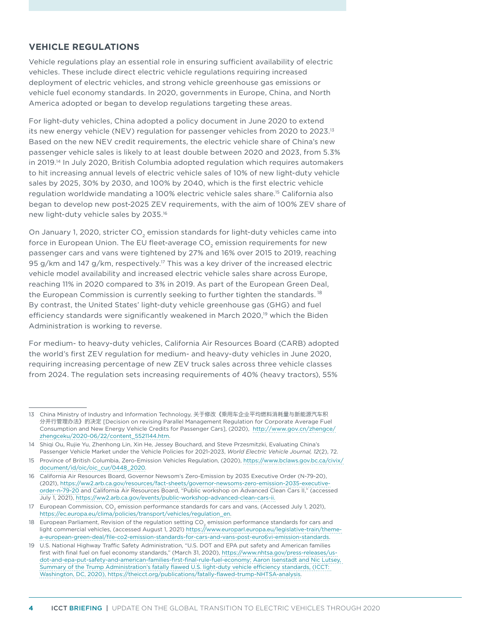#### **VEHICLE REGULATIONS**

Vehicle regulations play an essential role in ensuring sufficient availability of electric vehicles. These include direct electric vehicle regulations requiring increased deployment of electric vehicles, and strong vehicle greenhouse gas emissions or vehicle fuel economy standards. In 2020, governments in Europe, China, and North America adopted or began to develop regulations targeting these areas.

For light-duty vehicles, China adopted a policy document in June 2020 to extend its new energy vehicle (NEV) regulation for passenger vehicles from 2020 to 2023.13 Based on the new NEV credit requirements, the electric vehicle share of China's new passenger vehicle sales is likely to at least double between 2020 and 2023, from 5.3% in 2019.<sup>14</sup> In July 2020, British Columbia adopted regulation which requires automakers to hit increasing annual levels of electric vehicle sales of 10% of new light-duty vehicle sales by 2025, 30% by 2030, and 100% by 2040, which is the first electric vehicle regulation worldwide mandating a 100% electric vehicle sales share.15 California also began to develop new post-2025 ZEV requirements, with the aim of 100% ZEV share of new light-duty vehicle sales by 2035.16

On January 1, 2020, stricter CO<sub>2</sub> emission standards for light-duty vehicles came into force in European Union. The EU fleet-average CO<sub>2</sub> emission requirements for new passenger cars and vans were tightened by 27% and 16% over 2015 to 2019, reaching 95 g/km and 147 g/km, respectively.<sup>17</sup> This was a key driver of the increased electric vehicle model availability and increased electric vehicle sales share across Europe, reaching 11% in 2020 compared to 3% in 2019. As part of the European Green Deal, the European Commission is currently seeking to further tighten the standards.<sup>18</sup> By contrast, the United States' light-duty vehicle greenhouse gas (GHG) and fuel efficiency standards were significantly weakened in March 2020,<sup>19</sup> which the Biden Administration is working to reverse.

For medium- to heavy-duty vehicles, California Air Resources Board (CARB) adopted the world's first ZEV regulation for medium- and heavy-duty vehicles in June 2020, requiring increasing percentage of new ZEV truck sales across three vehicle classes from 2024. The regulation sets increasing requirements of 40% (heavy tractors), 55%

<sup>13</sup> China Ministry of Industry and Information Technology, 关于修改《乘用车企业平均燃料消耗量与新能源汽车积 分并行管理办法》的决定 [Decision on revising Parallel Management Regulation for Corporate Average Fuel Consumption and New Energy Vehicle Credits for Passenger Cars], (2020), [http://www.gov.cn/zhengce/](http://www.gov.cn/zhengce/zhengceku/2020-06/22/content_5521144.htm) [zhengceku/2020-06/22/content\\_5521144.htm.](http://www.gov.cn/zhengce/zhengceku/2020-06/22/content_5521144.htm)

<sup>14</sup> Shiqi Ou, Rujie Yu, Zhenhong Lin, Xin He, Jessey Bouchard, and Steve Przesmitzki, Evaluating China's Passenger Vehicle Market under the Vehicle Policies for 2021-2023, *World Electric Vehicle Journal, 12*(2), 72.

<sup>15</sup> Province of British Columbia, Zero-Emission Vehicles Regulation, (2020), [https://www.bclaws.gov.bc.ca/civix/](https://www.bclaws.gov.bc.ca/civix/document/id/oic/oic_cur/0448_2020) [document/id/oic/oic\\_cur/0448\\_2020.](https://www.bclaws.gov.bc.ca/civix/document/id/oic/oic_cur/0448_2020)

<sup>16</sup> California Air Resources Board, Governor Newsom's Zero-Emission by 2035 Executive Order (N-79-20), (2021), [https://ww2.arb.ca.gov/resources/fact-sheets/governor-newsoms-zero-emission-2035-executive](https://ww2.arb.ca.gov/resources/fact-sheets/governor-newsoms-zero-emission-2035-executive-order-n-79-20)[order-n-79-20](https://ww2.arb.ca.gov/resources/fact-sheets/governor-newsoms-zero-emission-2035-executive-order-n-79-20) and California Air Resources Board, "Public workshop on Advanced Clean Cars II," (accessed July 1, 2021), [https://ww2.arb.ca.gov/events/public-workshop-advanced-clean-cars-ii.](https://ww2.arb.ca.gov/events/public-workshop-advanced-clean-cars-ii)

<sup>17</sup> European Commission, CO<sub>2</sub> emission performance standards for cars and vans, (Accessed July 1, 2021), [https://ec.europa.eu/clima/policies/transport/vehicles/regulation\\_en](https://ec.europa.eu/clima/policies/transport/vehicles/regulation_en).

<sup>18</sup> European Parliament, Revision of the regulation setting CO<sub>2</sub> emission performance standards for cars and light commercial vehicles, (accessed August 1, 2021) [https://www.europarl.europa.eu/legislative-train/theme](https://www.europarl.europa.eu/legislative-train/theme-a-european-green-deal/file-co2-emission-standards-for-cars-and-vans-post-euro6vi-emission-standards)[a-european-green-deal/file-co2-emission-standards-for-cars-and-vans-post-euro6vi-emission-standards](https://www.europarl.europa.eu/legislative-train/theme-a-european-green-deal/file-co2-emission-standards-for-cars-and-vans-post-euro6vi-emission-standards).

<sup>19</sup> U.S. National Highway Traffic Safety Administration, "U.S. DOT and EPA put safety and American families first with final fuel on fuel economy standards," (March 31, 2020), [https://www.nhtsa.gov/press-releases/us](https://www.nhtsa.gov/press-releases/us-dot-and-epa-put-safety-and-american-families-first-final-rule-fuel-economy)[dot-and-epa-put-safety-and-american-families-first-final-rule-fuel-economy;](https://www.nhtsa.gov/press-releases/us-dot-and-epa-put-safety-and-american-families-first-final-rule-fuel-economy) Aaron Isenstadt and Nic Lutsey, Summary of the Trump Administration's fatally flawed U.S. light-duty vehicle efficiency standards, (ICCT: Washington, DC, 2020), [https://theicct.org/publications/fatally-flawed-trump-NHTSA-analysis.](https://theicct.org/publications/fatally-flawed-trump-NHTSA-analysis)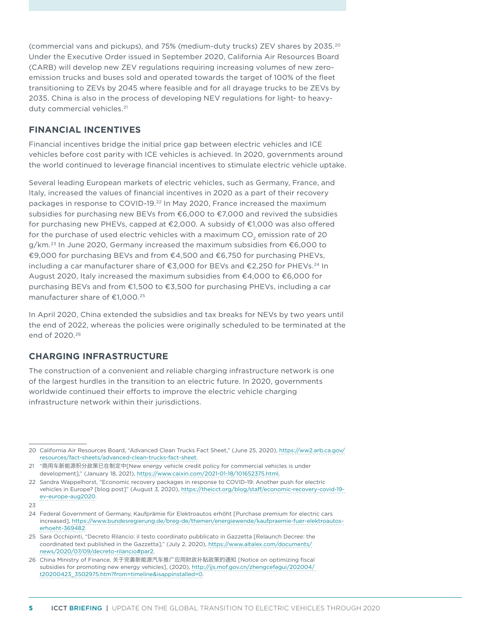(commercial vans and pickups), and 75% (medium-duty trucks) ZEV shares by 2035.20 Under the Executive Order issued in September 2020, California Air Resources Board (CARB) will develop new ZEV regulations requiring increasing volumes of new zeroemission trucks and buses sold and operated towards the target of 100% of the fleet transitioning to ZEVs by 2045 where feasible and for all drayage trucks to be ZEVs by 2035. China is also in the process of developing NEV regulations for light- to heavyduty commercial vehicles.<sup>21</sup>

# **FINANCIAL INCENTIVES**

Financial incentives bridge the initial price gap between electric vehicles and ICE vehicles before cost parity with ICE vehicles is achieved. In 2020, governments around the world continued to leverage financial incentives to stimulate electric vehicle uptake.

Several leading European markets of electric vehicles, such as Germany, France, and Italy, increased the values of financial incentives in 2020 as a part of their recovery packages in response to COVID-19.<sup>22</sup> In May 2020, France increased the maximum subsidies for purchasing new BEVs from €6,000 to €7,000 and revived the subsidies for purchasing new PHEVs, capped at €2,000. A subsidy of €1,000 was also offered for the purchase of used electric vehicles with a maximum  $CO<sub>2</sub>$  emission rate of 20 g/km.23 In June 2020, Germany increased the maximum subsidies from €6,000 to €9,000 for purchasing BEVs and from €4,500 and €6,750 for purchasing PHEVs, including a car manufacturer share of  $\epsilon$ 3,000 for BEVs and  $\epsilon$ 2,250 for PHEVs.<sup>24</sup> In August 2020, Italy increased the maximum subsidies from €4,000 to €6,000 for purchasing BEVs and from €1,500 to €3,500 for purchasing PHEVs, including a car manufacturer share of €1,000.25

In April 2020, China extended the subsidies and tax breaks for NEVs by two years until the end of 2022, whereas the policies were originally scheduled to be terminated at the end of 2020.26

## **CHARGING INFRASTRUCTURE**

The construction of a convenient and reliable charging infrastructure network is one of the largest hurdles in the transition to an electric future. In 2020, governments worldwide continued their efforts to improve the electric vehicle charging infrastructure network within their jurisdictions.

23

<sup>20</sup> California Air Resources Board, "Advanced Clean Trucks Fact Sheet," (June 25, 2020), [https://ww2.arb.ca.gov/](https://ww2.arb.ca.gov/resources/fact-sheets/advanced-clean-trucks-fact-sheet) [resources/fact-sheets/advanced-clean-trucks-fact-sheet](https://ww2.arb.ca.gov/resources/fact-sheets/advanced-clean-trucks-fact-sheet).

<sup>21</sup> "商用车新能源积分政策已在制定中[New energy vehicle credit policy for commercial vehicles is under development]," (January 18, 2021), <https://www.caixin.com/2021-01-18/101652375.html>.

<sup>22</sup> Sandra Wappelhorst, "Economic recovery packages in response to COVID-19: Another push for electric vehicles in Europe? [blog post]" (August 3, 2020), [https://theicct.org/blog/staff/economic-recovery-covid-19](https://theicct.org/blog/staff/economic-recovery-covid-19-ev-europe-aug2020) [ev-europe-aug2020.](https://theicct.org/blog/staff/economic-recovery-covid-19-ev-europe-aug2020)

<sup>24</sup> Federal Government of Germany, Kaufprämie für Elektroautos erhöht [Purchase premium for electric cars increased], [https://www.bundesregierung.de/breg-de/themen/energiewende/kaufpraemie-fuer-elektroautos](https://www.bundesregierung.de/breg-de/themen/energiewende/kaufpraemie-fuer-elektroautos-erhoeht-369482)[erhoeht-369482.](https://www.bundesregierung.de/breg-de/themen/energiewende/kaufpraemie-fuer-elektroautos-erhoeht-369482)

<sup>25</sup> Sara Occhipinti, "Decreto Rilancio: il testo coordinato pubblicato in Gazzetta [Relaunch Decree: the coordinated text published in the Gazzetta]," (July 2, 2020), [https://www.altalex.com/documents/](https://www.altalex.com/documents/news/2020/07/09/decreto-rilancio#par2) [news/2020/07/09/decreto-rilancio#par2](https://www.altalex.com/documents/news/2020/07/09/decreto-rilancio#par2).

<sup>26</sup> China Ministry of Finance, 关于完善新能源汽车推广应用财政补贴政策的通知 [Notice on optimizing fiscal subsidies for promoting new energy vehicles], (2020), [http://jjs.mof.gov.cn/zhengcefagui/202004/](http://jjs.mof.gov.cn/zhengcefagui/202004/ t20200423_3502975.htm?from=timeline&isappinstalled=0)  [t20200423\\_3502975.htm?from=timeline&isappinstalled=0](http://jjs.mof.gov.cn/zhengcefagui/202004/ t20200423_3502975.htm?from=timeline&isappinstalled=0).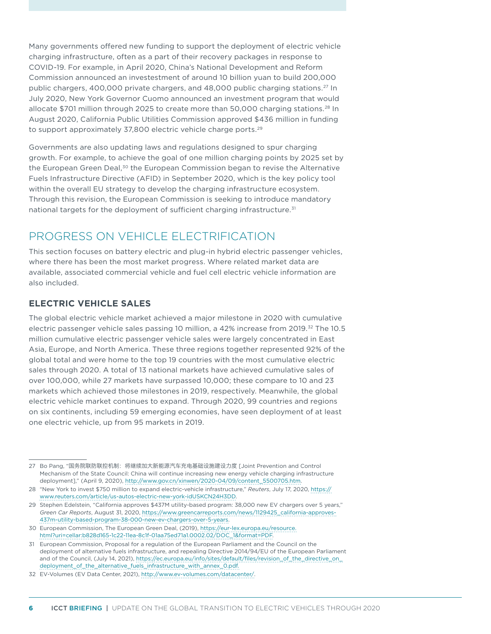Many governments offered new funding to support the deployment of electric vehicle charging infrastructure, often as a part of their recovery packages in response to COVID-19. For example, in April 2020, China's National Development and Reform Commission announced an investestment of around 10 billion yuan to build 200,000 public chargers, 400,000 private chargers, and 48,000 public charging stations.27 In July 2020, New York Governor Cuomo announced an investment program that would allocate \$701 million through 2025 to create more than 50,000 charging stations.<sup>28</sup> In August 2020, California Public Utilities Commission approved \$436 million in funding to support approximately 37,800 electric vehicle charge ports.<sup>29</sup>

Governments are also updating laws and regulations designed to spur charging growth. For example, to achieve the goal of one million charging points by 2025 set by the European Green Deal,<sup>30</sup> the European Commission began to revise the Alternative Fuels Infrastructure Directive (AFID) in September 2020, which is the key policy tool within the overall EU strategy to develop the charging infrastructure ecosystem. Through this revision, the European Commission is seeking to introduce mandatory national targets for the deployment of sufficient charging infrastructure.<sup>31</sup>

# PROGRESS ON VEHICLE ELECTRIFICATION

This section focuses on battery electric and plug-in hybrid electric passenger vehicles, where there has been the most market progress. Where related market data are available, associated commercial vehicle and fuel cell electric vehicle information are also included.

# **ELECTRIC VEHICLE SALES**

The global electric vehicle market achieved a major milestone in 2020 with cumulative electric passenger vehicle sales passing 10 million, a 42% increase from 2019.32 The 10.5 million cumulative electric passenger vehicle sales were largely concentrated in East Asia, Europe, and North America. These three regions together represented 92% of the global total and were home to the top 19 countries with the most cumulative electric sales through 2020. A total of 13 national markets have achieved cumulative sales of over 100,000, while 27 markets have surpassed 10,000; these compare to 10 and 23 markets which achieved those milestones in 2019, respectively. Meanwhile, the global electric vehicle market continues to expand. Through 2020, 99 countries and regions on six continents, including 59 emerging economies, have seen deployment of at least one electric vehicle, up from 95 markets in 2019.

<sup>27</sup> Bo Pang, "国务院联防联控机制: 将继续加大新能源汽车充电基础设施建设力度 [Joint Prevention and Control Mechanism of the State Council: China will continue increasing new energy vehicle charging infrastructure deployment]," (April 9, 2020), [http://www.gov.cn/xinwen/2020-04/09/content\\_5500705.htm](http://www.gov.cn/xinwen/2020-04/09/content_5500705.htm).

<sup>28</sup> "New York to invest \$750 million to expand electric-vehicle infrastructure," *Reuters*, July 17, 2020, [https://](https://www.reuters.com/article/us-autos-electric-new-york-idUSKCN24H3DD) [www.reuters.com/article/us-autos-electric-new-york-idUSKCN24H3DD](https://www.reuters.com/article/us-autos-electric-new-york-idUSKCN24H3DD).

<sup>29</sup> Stephen Edelstein, "California approves \$437M utility-based program: 38,000 new EV chargers over 5 years," *Green Car Reports*, August 31, 2020, [https://www.greencarreports.com/news/1129425\\_california-approves-](https://www.greencarreports.com/news/1129425_california-approves-437m-utility-based-program-38-000-new-ev-chargers-over-5-years)[437m-utility-based-program-38-000-new-ev-chargers-over-5-years.](https://www.greencarreports.com/news/1129425_california-approves-437m-utility-based-program-38-000-new-ev-chargers-over-5-years)

<sup>30</sup> European Commission, The European Green Deal, (2019), [https://eur-lex.europa.eu/resource.](https://eur-lex.europa.eu/resource.html?uri=cellar:b828d165-1c22-11ea-8c1f-01aa75ed71a1.0002.02/DOC_1&format=PDF) [html?uri=cellar:b828d165-1c22-11ea-8c1f-01aa75ed71a1.0002.02/DOC\\_1&format=PDF.](https://eur-lex.europa.eu/resource.html?uri=cellar:b828d165-1c22-11ea-8c1f-01aa75ed71a1.0002.02/DOC_1&format=PDF)

<sup>31</sup> European Commission, Proposal for a regulation of the European Parliament and the Council on the deployment of alternative fuels infrastructure, and repealing Directive 2014/94/EU of the European Parliament and of the Council, (July 14, 2021), [https://ec.europa.eu/info/sites/default/files/revision\\_of\\_the\\_directive\\_on\\_](https://ec.europa.eu/info/sites/default/files/revision_of_the_directive_on_deployment_of_the_alternative_fuels_infrastructure_with_annex_0.pdf) [deployment\\_of\\_the\\_alternative\\_fuels\\_infrastructure\\_with\\_annex\\_0.pdf.](https://ec.europa.eu/info/sites/default/files/revision_of_the_directive_on_deployment_of_the_alternative_fuels_infrastructure_with_annex_0.pdf)

<sup>32</sup> EV-Volumes (EV Data Center, 2021),<http://www.ev-volumes.com/datacenter/>.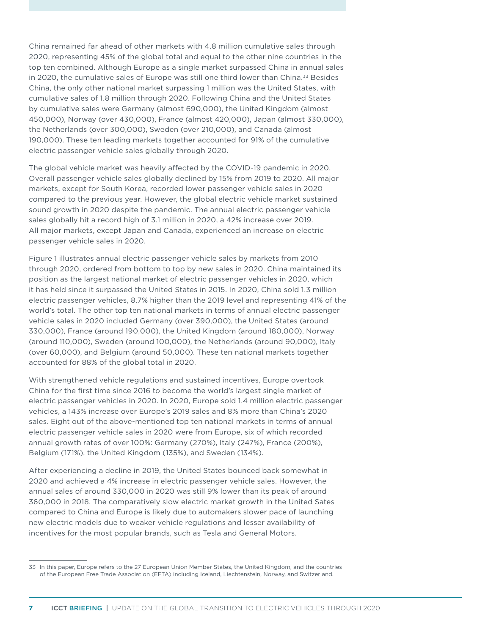China remained far ahead of other markets with 4.8 million cumulative sales through 2020, representing 45% of the global total and equal to the other nine countries in the top ten combined. Although Europe as a single market surpassed China in annual sales in 2020, the cumulative sales of Europe was still one third lower than China.<sup>33</sup> Besides China, the only other national market surpassing 1 million was the United States, with cumulative sales of 1.8 million through 2020. Following China and the United States by cumulative sales were Germany (almost 690,000), the United Kingdom (almost 450,000), Norway (over 430,000), France (almost 420,000), Japan (almost 330,000), the Netherlands (over 300,000), Sweden (over 210,000), and Canada (almost 190,000). These ten leading markets together accounted for 91% of the cumulative electric passenger vehicle sales globally through 2020.

The global vehicle market was heavily affected by the COVID-19 pandemic in 2020. Overall passenger vehicle sales globally declined by 15% from 2019 to 2020. All major markets, except for South Korea, recorded lower passenger vehicle sales in 2020 compared to the previous year. However, the global electric vehicle market sustained sound growth in 2020 despite the pandemic. The annual electric passenger vehicle sales globally hit a record high of 3.1 million in 2020, a 42% increase over 2019. All major markets, except Japan and Canada, experienced an increase on electric passenger vehicle sales in 2020.

[Figure 1](#page-7-0) illustrates annual electric passenger vehicle sales by markets from 2010 through 2020, ordered from bottom to top by new sales in 2020. China maintained its position as the largest national market of electric passenger vehicles in 2020, which it has held since it surpassed the United States in 2015. In 2020, China sold 1.3 million electric passenger vehicles, 8.7% higher than the 2019 level and representing 41% of the world's total. The other top ten national markets in terms of annual electric passenger vehicle sales in 2020 included Germany (over 390,000), the United States (around 330,000), France (around 190,000), the United Kingdom (around 180,000), Norway (around 110,000), Sweden (around 100,000), the Netherlands (around 90,000), Italy (over 60,000), and Belgium (around 50,000). These ten national markets together accounted for 88% of the global total in 2020.

With strengthened vehicle regulations and sustained incentives, Europe overtook China for the first time since 2016 to become the world's largest single market of electric passenger vehicles in 2020. In 2020, Europe sold 1.4 million electric passenger vehicles, a 143% increase over Europe's 2019 sales and 8% more than China's 2020 sales. Eight out of the above-mentioned top ten national markets in terms of annual electric passenger vehicle sales in 2020 were from Europe, six of which recorded annual growth rates of over 100%: Germany (270%), Italy (247%), France (200%), Belgium (171%), the United Kingdom (135%), and Sweden (134%).

After experiencing a decline in 2019, the United States bounced back somewhat in 2020 and achieved a 4% increase in electric passenger vehicle sales. However, the annual sales of around 330,000 in 2020 was still 9% lower than its peak of around 360,000 in 2018. The comparatively slow electric market growth in the United Sates compared to China and Europe is likely due to automakers slower pace of launching new electric models due to weaker vehicle regulations and lesser availability of incentives for the most popular brands, such as Tesla and General Motors.

<sup>33</sup> In this paper, Europe refers to the 27 European Union Member States, the United Kingdom, and the countries of the European Free Trade Association (EFTA) including Iceland, Liechtenstein, Norway, and Switzerland.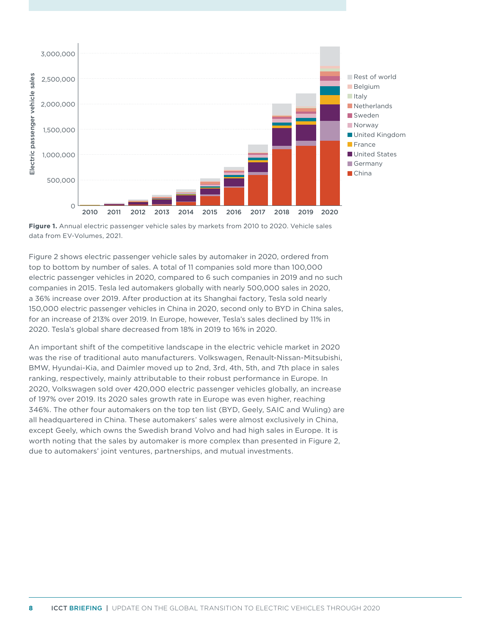

<span id="page-7-0"></span>**Figure 1.** Annual electric passenger vehicle sales by markets from 2010 to 2020. Vehicle sales data from EV-Volumes, 2021.

[Figure](#page-8-0) 2 shows electric passenger vehicle sales by automaker in 2020, ordered from top to bottom by number of sales. A total of 11 companies sold more than 100,000 electric passenger vehicles in 2020, compared to 6 such companies in 2019 and no such companies in 2015. Tesla led automakers globally with nearly 500,000 sales in 2020, a 36% increase over 2019. After production at its Shanghai factory, Tesla sold nearly 150,000 electric passenger vehicles in China in 2020, second only to BYD in China sales, for an increase of 213% over 2019. In Europe, however, Tesla's sales declined by 11% in 2020. Tesla's global share decreased from 18% in 2019 to 16% in 2020.

An important shift of the competitive landscape in the electric vehicle market in 2020 was the rise of traditional auto manufacturers. Volkswagen, Renault-Nissan-Mitsubishi, BMW, Hyundai-Kia, and Daimler moved up to 2nd, 3rd, 4th, 5th, and 7th place in sales ranking, respectively, mainly attributable to their robust performance in Europe. In 2020, Volkswagen sold over 420,000 electric passenger vehicles globally, an increase of 197% over 2019. Its 2020 sales growth rate in Europe was even higher, reaching 346%. The other four automakers on the top ten list (BYD, Geely, SAIC and Wuling) are all headquartered in China. These automakers' sales were almost exclusively in China, except Geely, which owns the Swedish brand Volvo and had high sales in Europe. It is worth noting that the sales by automaker is more complex than presented in [Figure 2](#page-8-0), due to automakers' joint ventures, partnerships, and mutual investments.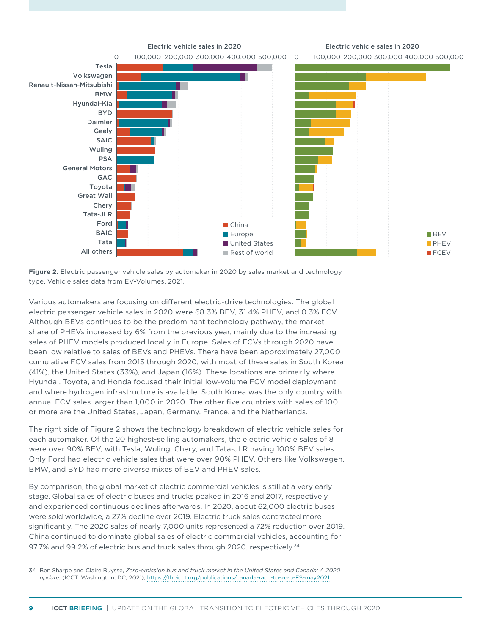

<span id="page-8-0"></span>Figure 2. Electric passenger vehicle sales by automaker in 2020 by sales market and technology type. Vehicle sales data from EV-Volumes, 2021.

Various automakers are focusing on different electric-drive technologies. The global electric passenger vehicle sales in 2020 were 68.3% BEV, 31.4% PHEV, and 0.3% FCV. Although BEVs continues to be the predominant technology pathway, the market share of PHEVs increased by 6% from the previous year, mainly due to the increasing sales of PHEV models produced locally in Europe. Sales of FCVs through 2020 have been low relative to sales of BEVs and PHEVs. There have been approximately 27,000 cumulative FCV sales from 2013 through 2020, with most of these sales in South Korea (41%), the United States (33%), and Japan (16%). These locations are primarily where Hyundai, Toyota, and Honda focused their initial low-volume FCV model deployment and where hydrogen infrastructure is available. South Korea was the only country with annual FCV sales larger than 1,000 in 2020. The other five countries with sales of 100 or more are the United States, Japan, Germany, France, and the Netherlands.

The right side of [Figure](#page-8-0) 2 shows the technology breakdown of electric vehicle sales for each automaker. Of the 20 highest-selling automakers, the electric vehicle sales of 8 were over 90% BEV, with Tesla, Wuling, Chery, and Tata-JLR having 100% BEV sales. Only Ford had electric vehicle sales that were over 90% PHEV. Others like Volkswagen, BMW, and BYD had more diverse mixes of BEV and PHEV sales.

By comparison, the global market of electric commercial vehicles is still at a very early stage. Global sales of electric buses and trucks peaked in 2016 and 2017, respectively and experienced continuous declines afterwards. In 2020, about 62,000 electric buses were sold worldwide, a 27% decline over 2019. Electric truck sales contracted more significantly. The 2020 sales of nearly 7,000 units represented a 72% reduction over 2019. China continued to dominate global sales of electric commercial vehicles, accounting for 97.7% and 99.2% of electric bus and truck sales through 2020, respectively.<sup>34</sup>

<sup>34</sup> Ben Sharpe and Claire Buysse, *Zero-emission bus and truck market in the United States and Canada: A 2020 update*, (ICCT: Washington, DC, 2021), [https://theicct.org/publications/canada-race-to-zero-FS-may2021.](https://theicct.org/publications/canada-race-to-zero-FS-may2021)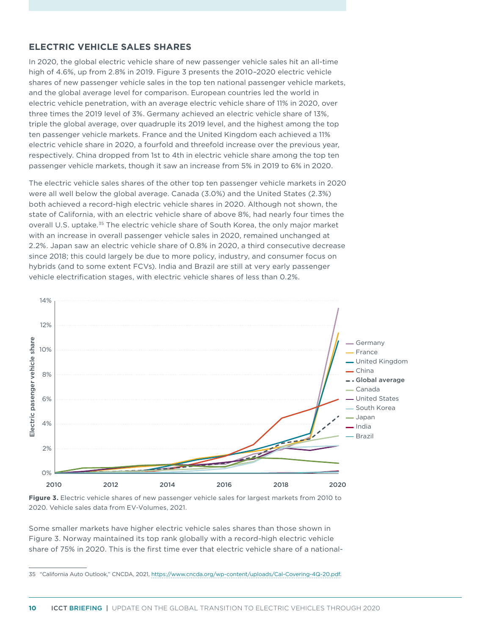# **ELECTRIC VEHICLE SALES SHARES**

In 2020, the global electric vehicle share of new passenger vehicle sales hit an all-time high of 4.6%, up from 2.8% in 2019. [Figure](#page-9-0) 3 presents the 2010–2020 electric vehicle shares of new passenger vehicle sales in the top ten national passenger vehicle markets, and the global average level for comparison. European countries led the world in electric vehicle penetration, with an average electric vehicle share of 11% in 2020, over three times the 2019 level of 3%. Germany achieved an electric vehicle share of 13%, triple the global average, over quadruple its 2019 level, and the highest among the top ten passenger vehicle markets. France and the United Kingdom each achieved a 11% electric vehicle share in 2020, a fourfold and threefold increase over the previous year, respectively. China dropped from 1st to 4th in electric vehicle share among the top ten passenger vehicle markets, though it saw an increase from 5% in 2019 to 6% in 2020.

The electric vehicle sales shares of the other top ten passenger vehicle markets in 2020 were all well below the global average. Canada (3.0%) and the United States (2.3%) both achieved a record-high electric vehicle shares in 2020. Although not shown, the state of California, with an electric vehicle share of above 8%, had nearly four times the overall U.S. uptake.<sup>35</sup> The electric vehicle share of South Korea, the only major market with an increase in overall passenger vehicle sales in 2020, remained unchanged at 2.2%. Japan saw an electric vehicle share of 0.8% in 2020, a third consecutive decrease since 2018; this could largely be due to more policy, industry, and consumer focus on hybrids (and to some extent FCVs). India and Brazil are still at very early passenger vehicle electrification stages, with electric vehicle shares of less than 0.2%.



<span id="page-9-0"></span>**Figure 3.** Electric vehicle shares of new passenger vehicle sales for largest markets from 2010 to 2020. Vehicle sales data from EV-Volumes, 2021.

Some smaller markets have higher electric vehicle sales shares than those shown in [Figure 3](#page-9-0). Norway maintained its top rank globally with a record-high electric vehicle share of 75% in 2020. This is the first time ever that electric vehicle share of a national-

<sup>35</sup> "California Auto Outlook," CNCDA, 2021, <https://www.cncda.org/wp-content/uploads/Cal-Covering-4Q-20.pdf>.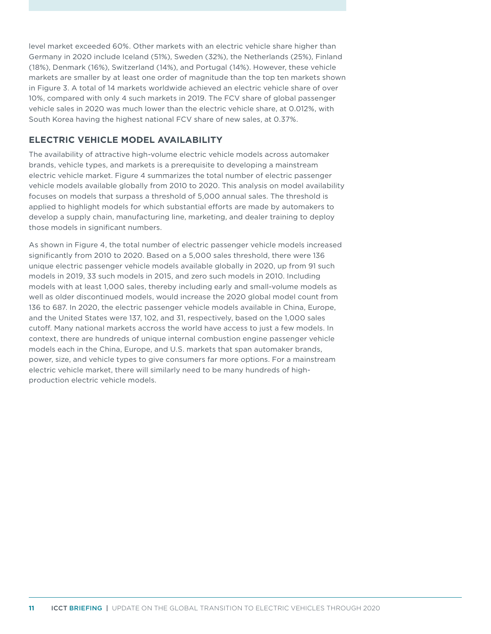level market exceeded 60%. Other markets with an electric vehicle share higher than Germany in 2020 include Iceland (51%), Sweden (32%), the Netherlands (25%), Finland (18%), Denmark (16%), Switzerland (14%), and Portugal (14%). However, these vehicle markets are smaller by at least one order of magnitude than the top ten markets shown in [Figure](#page-9-0) 3. A total of 14 markets worldwide achieved an electric vehicle share of over 10%, compared with only 4 such markets in 2019. The FCV share of global passenger vehicle sales in 2020 was much lower than the electric vehicle share, at 0.012%, with South Korea having the highest national FCV share of new sales, at 0.37%.

# **ELECTRIC VEHICLE MODEL AVAILABILITY**

The availability of attractive high-volume electric vehicle models across automaker brands, vehicle types, and markets is a prerequisite to developing a mainstream electric vehicle market. [Figure](#page-11-0) 4 summarizes the total number of electric passenger vehicle models available globally from 2010 to 2020. This analysis on model availability focuses on models that surpass a threshold of 5,000 annual sales. The threshold is applied to highlight models for which substantial efforts are made by automakers to develop a supply chain, manufacturing line, marketing, and dealer training to deploy those models in significant numbers.

As shown in [Figure 4](#page-11-0), the total number of electric passenger vehicle models increased significantly from 2010 to 2020. Based on a 5,000 sales threshold, there were 136 unique electric passenger vehicle models available globally in 2020, up from 91 such models in 2019, 33 such models in 2015, and zero such models in 2010. Including models with at least 1,000 sales, thereby including early and small-volume models as well as older discontinued models, would increase the 2020 global model count from 136 to 687. In 2020, the electric passenger vehicle models available in China, Europe, and the United States were 137, 102, and 31, respectively, based on the 1,000 sales cutoff. Many national markets accross the world have access to just a few models. In context, there are hundreds of unique internal combustion engine passenger vehicle models each in the China, Europe, and U.S. markets that span automaker brands, power, size, and vehicle types to give consumers far more options. For a mainstream electric vehicle market, there will similarly need to be many hundreds of highproduction electric vehicle models.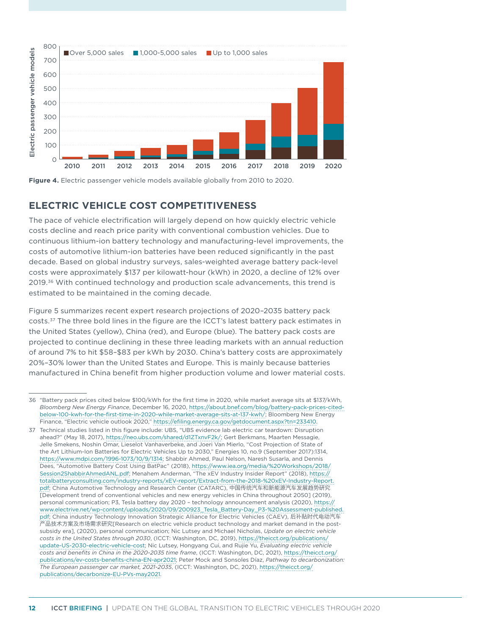

<span id="page-11-0"></span>**Figure 4.** Electric passenger vehicle models available globally from 2010 to 2020.

# **ELECTRIC VEHICLE COST COMPETITIVENESS**

The pace of vehicle electrification will largely depend on how quickly electric vehicle costs decline and reach price parity with conventional combustion vehicles. Due to continuous lithium-ion battery technology and manufacturing-level improvements, the costs of automotive lithium-ion batteries have been reduced significantly in the past decade. Based on global industry surveys, sales-weighted average battery pack-level costs were approximately \$137 per kilowatt-hour (kWh) in 2020, a decline of 12% over 2019.36 With continued technology and production scale advancements, this trend is estimated to be maintained in the coming decade.

[Figure](#page-12-0) 5 summarizes recent expert research projections of 2020–2035 battery pack costs.37 The three bold lines in the figure are the ICCT's latest battery pack estimates in the United States (yellow), China (red), and Europe (blue). The battery pack costs are projected to continue declining in these three leading markets with an annual reduction of around 7% to hit \$58–\$83 per kWh by 2030. China's battery costs are approximately 20%–30% lower than the United States and Europe. This is mainly because batteries manufactured in China benefit from higher production volume and lower material costs.

<sup>36</sup> "Battery pack prices cited below \$100/kWh for the first time in 2020, while market average sits at \$137/kWh, *Bloomberg New Energy Finance*, December 16, 2020, [https://about.bnef.com/blog/battery-pack-prices-cited](https://about.bnef.com/blog/battery-pack-prices-cited-below-100-kwh-for-the-first-time-in-2020-while-market-average-sits-at-137-kwh/)[below-100-kwh-for-the-first-time-in-2020-while-market-average-sits-at-137-kwh/;](https://about.bnef.com/blog/battery-pack-prices-cited-below-100-kwh-for-the-first-time-in-2020-while-market-average-sits-at-137-kwh/) Bloomberg New Energy Finance, "Electric vehicle outlook 2020," <https://efiling.energy.ca.gov/getdocument.aspx?tn=233410>.

<sup>37</sup> Technical studies listed in this figure include: UBS, "UBS evidence lab electric car teardown: Disruption ahead?" (May 18, 2017),<https://neo.ubs.com/shared/d1ZTxnvF2k/>; Gert Berkmans, Maarten Messagie, Jelle Smekens, Noshin Omar, Lieselot Vanhaverbeke, and Joeri Van Mierlo, "Cost Projection of State of the Art Lithium-Ion Batteries for Electric Vehicles Up to 2030," Energies 10, no.9 (September 2017):1314, [https://www.mdpi.com/1996-1073/10/9/1314;](https://www.mdpi.com/1996-1073/10/9/1314) Shabbir Ahmed, Paul Nelson, Naresh Susarla, and Dennis Dees, "Automotive Battery Cost Using BatPac" (2018), [https://www.iea.org/media/%20Workshops/2018/](https://www.iea.org/media/ Workshops/2018/Session2ShabbirAhmedANL.pdf) [Session2ShabbirAhmedANL.pdf;](https://www.iea.org/media/ Workshops/2018/Session2ShabbirAhmedANL.pdf) Menahem Anderman, "The xEV Industry Insider Report" (2018), [https://](https://totalbatteryconsulting.com/industry-reports/xEV-report/Extract-from-the-2018- xEV-Industry-Report.pdf) [totalbatteryconsulting.com/industry-reports/xEV-report/Extract-from-the-2018-%20xEV-Industry-Report.](https://totalbatteryconsulting.com/industry-reports/xEV-report/Extract-from-the-2018- xEV-Industry-Report.pdf) [pdf](https://totalbatteryconsulting.com/industry-reports/xEV-report/Extract-from-the-2018- xEV-Industry-Report.pdf); China Automotive Technology and Research Center (CATARC), 中国传统汽车和新能源汽车发展趋势研究 [Development trend of conventional vehicles and new energy vehicles in China throughout 2050] (2019), personal communication; P3, Tesla battery day 2020 – technology announcement analysis (2020), [https://](https://www.electrive.net/wp-content/uploads/2020/09/200923_Tesla_Battery-Day_P3- Assessment-published.pdf) [www.electrive.net/wp-content/uploads/2020/09/200923\\_Tesla\\_Battery-Day\\_P3-%20Assessment-published.](https://www.electrive.net/wp-content/uploads/2020/09/200923_Tesla_Battery-Day_P3- Assessment-published.pdf) [pdf](https://www.electrive.net/wp-content/uploads/2020/09/200923_Tesla_Battery-Day_P3- Assessment-published.pdf); China industry Technology Innovation Strategic Alliance for Electric Vehicles (CAEV), 后补贴时代电动汽车 产品技术方案及市场需求研究[Research on electric vehicle product technology and market demand in the postsubsidy era], (2020), personal communication; Nic Lutsey and Michael Nicholas, *Update on electric vehicle costs in the United States through 2030*, (ICCT: Washington, DC, 2019), [https://theicct.org/publications/](https://theicct.org/publications/update-US-2030-electric-vehicle-cost) [update-US-2030-electric-vehicle-cost;](https://theicct.org/publications/update-US-2030-electric-vehicle-cost) Nic Lutsey, Hongyang Cui, and Rujie Yu, *Evaluating electric vehicle costs and benefits in China in the 2020-2035 time frame*, (ICCT: Washington, DC, 2021), [https://theicct.org/](https://theicct.org/publications/ev-costs-benefits-china-EN-apr2021) [publications/ev-costs-benefits-china-EN-apr2021](https://theicct.org/publications/ev-costs-benefits-china-EN-apr2021); Peter Mock and Sonsoles Díaz, *Pathway to decarbonization: The European passenger car market, 2021-2035*, (ICCT: Washington, DC, 2021), [https://theicct.org/](https://theicct.org/publications/decarbonize-EU-PVs-may2021) [publications/decarbonize-EU-PVs-may2021.](https://theicct.org/publications/decarbonize-EU-PVs-may2021)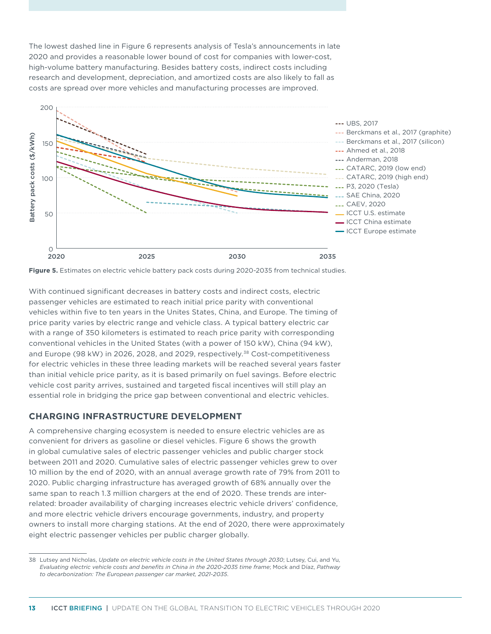The lowest dashed line in [Figure](#page-12-0) 6 represents analysis of Tesla's announcements in late 2020 and provides a reasonable lower bound of cost for companies with lower-cost, high-volume battery manufacturing. Besides battery costs, indirect costs including research and development, depreciation, and amortized costs are also likely to fall as costs are spread over more vehicles and manufacturing processes are improved.



<span id="page-12-0"></span>**Figure 5.** Estimates on electric vehicle battery pack costs during 2020-2035 from technical studies.

With continued significant decreases in battery costs and indirect costs, electric passenger vehicles are estimated to reach initial price parity with conventional vehicles within five to ten years in the Unites States, China, and Europe. The timing of price parity varies by electric range and vehicle class. A typical battery electric car with a range of 350 kilometers is estimated to reach price parity with corresponding conventional vehicles in the United States (with a power of 150 kW), China (94 kW), and Europe (98 kW) in 2026, 2028, and 2029, respectively.<sup>38</sup> Cost-competitiveness for electric vehicles in these three leading markets will be reached several years faster than initial vehicle price parity, as it is based primarily on fuel savings. Before electric vehicle cost parity arrives, sustained and targeted fiscal incentives will still play an essential role in bridging the price gap between conventional and electric vehicles.

### **CHARGING INFRASTRUCTURE DEVELOPMENT**

A comprehensive charging ecosystem is needed to ensure electric vehicles are as convenient for drivers as gasoline or diesel vehicles. [Figure](#page-13-0) 6 shows the growth in global cumulative sales of electric passenger vehicles and public charger stock between 2011 and 2020. Cumulative sales of electric passenger vehicles grew to over 10 million by the end of 2020, with an annual average growth rate of 79% from 2011 to 2020. Public charging infrastructure has averaged growth of 68% annually over the same span to reach 1.3 million chargers at the end of 2020. These trends are interrelated: broader availability of charging increases electric vehicle drivers' confidence, and more electric vehicle drivers encourage governments, industry, and property owners to install more charging stations. At the end of 2020, there were approximately eight electric passenger vehicles per public charger globally.

<sup>38</sup> Lutsey and Nicholas, *Update on electric vehicle costs in the United States through 2030*; Lutsey, Cui, and Yu, *Evaluating electric vehicle costs and benefits in China in the 2020-2035 time frame*; Mock and Díaz, *Pathway to decarbonization: The European passenger car market, 2021-2035*.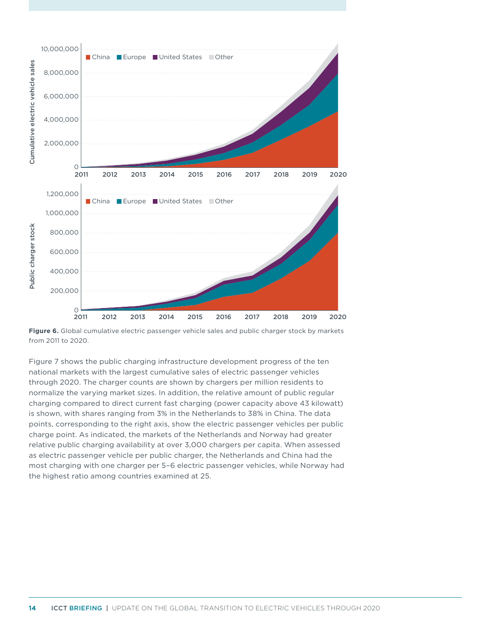

<span id="page-13-0"></span>**Figure 6.** Global cumulative electric passenger vehicle sales and public charger stock by markets from 2011 to 2020.

[Figure 7](#page-14-0) shows the public charging infrastructure development progress of the ten national markets with the largest cumulative sales of electric passenger vehicles through 2020. The charger counts are shown by chargers per million residents to normalize the varying market sizes. In addition, the relative amount of public regular charging compared to direct current fast charging (power capacity above 43 kilowatt) is shown, with shares ranging from 3% in the Netherlands to 38% in China. The data points, corresponding to the right axis, show the electric passenger vehicles per public charge point. As indicated, the markets of the Netherlands and Norway had greater relative public charging availability at over 3,000 chargers per capita. When assessed as electric passenger vehicle per public charger, the Netherlands and China had the most charging with one charger per 5–6 electric passenger vehicles, while Norway had the highest ratio among countries examined at 25.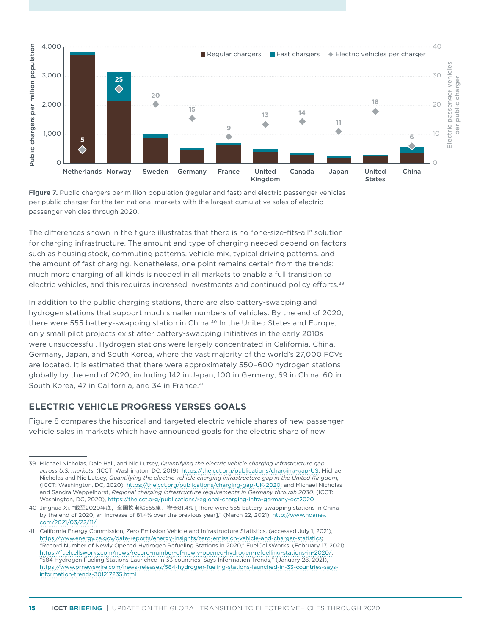

<span id="page-14-0"></span>**Figure 7.** Public chargers per million population (regular and fast) and electric passenger vehicles per public charger for the ten national markets with the largest cumulative sales of electric passenger vehicles through 2020.

The differences shown in the figure illustrates that there is no "one-size-fits-all" solution for charging infrastructure. The amount and type of charging needed depend on factors such as housing stock, commuting patterns, vehicle mix, typical driving patterns, and the amount of fast charging. Nonetheless, one point remains certain from the trends: much more charging of all kinds is needed in all markets to enable a full transition to electric vehicles, and this requires increased investments and continued policy efforts.39

In addition to the public charging stations, there are also battery-swapping and hydrogen stations that support much smaller numbers of vehicles. By the end of 2020, there were 555 battery-swapping station in China.40 In the United States and Europe, only small pilot projects exist after battery-swapping initiatives in the early 2010s were unsuccessful. Hydrogen stations were largely concentrated in California, China, Germany, Japan, and South Korea, where the vast majority of the world's 27,000 FCVs are located. It is estimated that there were approximately 550–600 hydrogen stations globally by the end of 2020, including 142 in Japan, 100 in Germany, 69 in China, 60 in South Korea, 47 in California, and 34 in France.<sup>41</sup>

## **ELECTRIC VEHICLE PROGRESS VERSES GOALS**

[Figure 8](#page-15-0) compares the historical and targeted electric vehicle shares of new passenger vehicle sales in markets which have announced goals for the electric share of new

<sup>39</sup> Michael Nicholas, Dale Hall, and Nic Lutsey, *Quantifying the electric vehicle charging infrastructure gap across U.S. markets*, (ICCT: Washington, DC, 2019), <https://theicct.org/publications/charging-gap-US>; Michael Nicholas and Nic Lutsey, *Quantifying the electric vehicle charging infrastructure gap in the United Kingdom*, (ICCT: Washington, DC, 2020), [https://theicct.org/publications/charging-gap-UK-2020;](https://theicct.org/publications/charging-gap-UK-2020) and Michael Nicholas and Sandra Wappelhorst, *Regional charging infrastructure requirements in Germany through 2030*, (ICCT: Washington, DC, 2020),<https://theicct.org/publications/regional-charging-infra-germany-oct2020>

<sup>40</sup> Jinghua Xi, "截至2020年底, 全国换电站555座, 增长81.4% [There were 555 battery-swapping stations in China by the end of 2020, an increase of 81.4% over the previous year]," (March 22, 2021), [http://www.ndanev.](http://www.ndanev.com/2021/03/22/11/) [com/2021/03/22/11/](http://www.ndanev.com/2021/03/22/11/)

<sup>41</sup> California Energy Commission, Zero Emission Vehicle and Infrastructure Statistics, (accessed July 1, 2021), <https://www.energy.ca.gov/data-reports/energy-insights/zero-emission-vehicle-and-charger-statistics>; "Record Number of Newly Opened Hydrogen Refueling Stations in 2020," FuelCellsWorks, (February 17, 2021), [https://fuelcellsworks.com/news/record-number-of-newly-opened-hydrogen-refuelling-stations-in-2020/;](https://fuelcellsworks.com/news/record-number-of-newly-opened-hydrogen-refuelling-stations-in-2020/) "584 Hydrogen Fueling Stations Launched in 33 countries, Says Information Trends," (January 28, 2021), [https://www.prnewswire.com/news-releases/584-hydrogen-fueling-stations-launched-in-33-countries-says](https://www.prnewswire.com/news-releases/584-hydrogen-fueling-stations-launched-in-33-countries-says-information-trends-301217235.html)[information-trends-301217235.html](https://www.prnewswire.com/news-releases/584-hydrogen-fueling-stations-launched-in-33-countries-says-information-trends-301217235.html)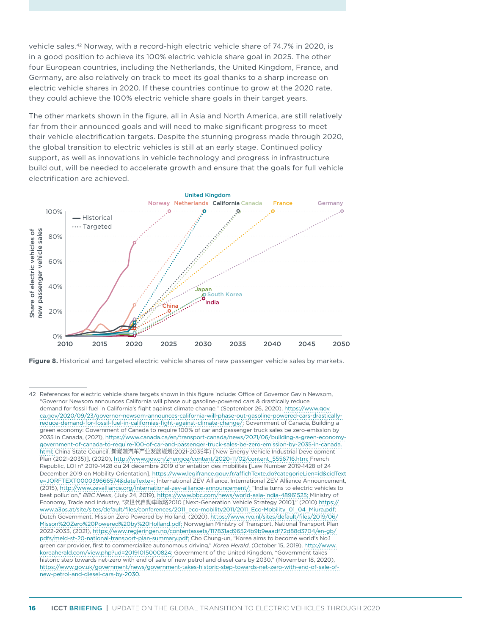vehicle sales.42 Norway, with a record-high electric vehicle share of 74.7% in 2020, is in a good position to achieve its 100% electric vehicle share goal in 2025. The other four European countries, including the Netherlands, the United Kingdom, France, and Germany, are also relatively on track to meet its goal thanks to a sharp increase on electric vehicle shares in 2020. If these countries continue to grow at the 2020 rate, they could achieve the 100% electric vehicle share goals in their target years.

The other markets shown in the figure, all in Asia and North America, are still relatively far from their announced goals and will need to make significant progress to meet their vehicle electrification targets. Despite the stunning progress made through 2020, the global transition to electric vehicles is still at an early stage. Continued policy support, as well as innovations in vehicle technology and progress in infrastructure build out, will be needed to accelerate growth and ensure that the goals for full vehicle electrification are achieved.



<span id="page-15-0"></span>**Figure 8.** Historical and targeted electric vehicle shares of new passenger vehicle sales by markets.

<sup>42</sup> References for electric vehicle share targets shown in this figure include: Office of Governor Gavin Newsom, "Governor Newsom announces California will phase out gasoline-powered cars & drastically reduce demand for fossil fuel in California's fight against climate change," (September 26, 2020), [https://www.gov.](https://www.gov.ca.gov/2020/09/23/governor-newsom-announces-california-will-phase-out-gasoline-powered-cars-drastically-reduce-demand-for-fossil-fuel-in-californias-fight-against-climate-change/) [ca.gov/2020/09/23/governor-newsom-announces-california-will-phase-out-gasoline-powered-cars-drastically](https://www.gov.ca.gov/2020/09/23/governor-newsom-announces-california-will-phase-out-gasoline-powered-cars-drastically-reduce-demand-for-fossil-fuel-in-californias-fight-against-climate-change/)[reduce-demand-for-fossil-fuel-in-californias-fight-against-climate-change/;](https://www.gov.ca.gov/2020/09/23/governor-newsom-announces-california-will-phase-out-gasoline-powered-cars-drastically-reduce-demand-for-fossil-fuel-in-californias-fight-against-climate-change/) Government of Canada, Building a green economy: Government of Canada to require 100% of car and passenger truck sales be zero-emission by 2035 in Canada, (2021), [https://www.canada.ca/en/transport-canada/news/2021/06/building-a-green-economy](https://www.canada.ca/en/transport-canada/news/2021/06/building-a-green-economy-government-of-canada-to-require-100-of-car-and-passenger-truck-sales-be-zero-emission-by-2035-in-canada.html)[government-of-canada-to-require-100-of-car-and-passenger-truck-sales-be-zero-emission-by-2035-in-canada.](https://www.canada.ca/en/transport-canada/news/2021/06/building-a-green-economy-government-of-canada-to-require-100-of-car-and-passenger-truck-sales-be-zero-emission-by-2035-in-canada.html) [html;](https://www.canada.ca/en/transport-canada/news/2021/06/building-a-green-economy-government-of-canada-to-require-100-of-car-and-passenger-truck-sales-be-zero-emission-by-2035-in-canada.html) China State Council, 新能源汽车产业发展规划(2021-2035年) [New Energy Vehicle Industrial Development Plan (2021-2035)], (2020), [http://www.gov.cn/zhengce/content/2020-11/02/content\\_5556716.htm;](http://www.gov.cn/zhengce/content/2020-11/02/content_5556716.htm) French Republic, LOI n° 2019-1428 du 24 décembre 2019 d'orientation des mobilités [Law Number 2019-1428 of 24 December 2019 on Mobility Orientation], [https://www.legifrance.gouv.fr/affichTexte.do?categorieLien=id&cidText](https://www.legifrance.gouv.fr/affichTexte.do?categorieLien=id&cidTexte=JORFTEXT000039666574&dateTexte=) [e=JORFTEXT000039666574&dateTexte=;](https://www.legifrance.gouv.fr/affichTexte.do?categorieLien=id&cidTexte=JORFTEXT000039666574&dateTexte=) International ZEV Alliance, International ZEV Alliance Announcement, (2015), [http://www.zevalliance.org/international-zev-alliance-announcement/;](http://www.zevalliance.org/international-zev-alliance-announcement/) "India turns to electric vehicles to beat pollution," *BBC News*, (July 24, 2019), [https://www.bbc.com/news/world-asia-india-48961525;](https://www.bbc.com/news/world-asia-india-48961525) Ministry of Economy, Trade and Industry, "次世代自動車戦略2010 [Next-Generation Vehicle Strategy 2010]," (2010) [https://](https://www.a3ps.at/site/sites/default/files/conferences/2011_eco-mobility2011/2011_Eco-Mobility_01_04_Miura.pdf) [www.a3ps.at/site/sites/default/files/conferences/2011\\_eco-mobility2011/2011\\_Eco-Mobility\\_01\\_04\\_Miura.pdf](https://www.a3ps.at/site/sites/default/files/conferences/2011_eco-mobility2011/2011_Eco-Mobility_01_04_Miura.pdf); Dutch Government, Mission Zero Powered by Holland, (2020), [https://www.rvo.nl/sites/default/files/2019/06/](https://www.rvo.nl/sites/default/files/2019/06/Misson Zero Powered by Holland.pdf) [Misson%20Zero%20Powered%20by%20Holland.pdf;](https://www.rvo.nl/sites/default/files/2019/06/Misson Zero Powered by Holland.pdf) Norwegian Ministry of Transport, National Transport Plan 2022-2033, (2021), https://www.regjeringen.no/contentassets/117831ad96524b9b9eaadf72d88d3704/en-gb/ pdfs/meld-st-20-national-transport-plan-summary.pdf; Cho Chung-un, "Korea aims to become world's No.1 green car provider, first to commercialize autonomous driving," *Korea Herald*, (October 15, 2019), [http://www.](http://www.koreaherald.com/view.php?ud=20191015000824) [koreaherald.com/view.php?ud=20191015000824](http://www.koreaherald.com/view.php?ud=20191015000824); Government of the United Kingdom, "Government takes historic step towards net-zero with end of sale of new petrol and diesel cars by 2030," (November 18, 2020), [https://www.gov.uk/government/news/government-takes-historic-step-towards-net-zero-with-end-of-sale-of](https://www.gov.uk/government/news/government-takes-historic-step-towards-net-zero-with-end-of-sale-of-new-petrol-and-diesel-cars-by-2030)[new-petrol-and-diesel-cars-by-2030](https://www.gov.uk/government/news/government-takes-historic-step-towards-net-zero-with-end-of-sale-of-new-petrol-and-diesel-cars-by-2030).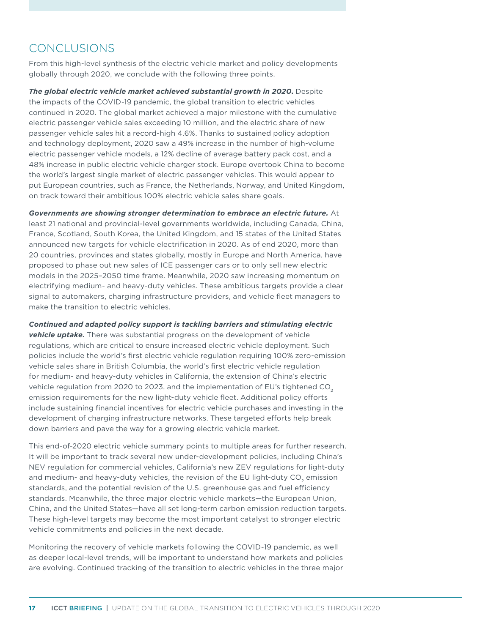# CONCLUSIONS

From this high-level synthesis of the electric vehicle market and policy developments globally through 2020, we conclude with the following three points.

*The global electric vehicle market achieved substantial growth in 2020***.** Despite the impacts of the COVID-19 pandemic, the global transition to electric vehicles continued in 2020. The global market achieved a major milestone with the cumulative electric passenger vehicle sales exceeding 10 million, and the electric share of new passenger vehicle sales hit a record-high 4.6%. Thanks to sustained policy adoption and technology deployment, 2020 saw a 49% increase in the number of high-volume electric passenger vehicle models, a 12% decline of average battery pack cost, and a 48% increase in public electric vehicle charger stock. Europe overtook China to become the world's largest single market of electric passenger vehicles. This would appear to put European countries, such as France, the Netherlands, Norway, and United Kingdom, on track toward their ambitious 100% electric vehicle sales share goals.

*Governments are showing stronger determination to embrace an electric future.* At least 21 national and provincial-level governments worldwide, including Canada, China, France, Scotland, South Korea, the United Kingdom, and 15 states of the United States announced new targets for vehicle electrification in 2020. As of end 2020, more than 20 countries, provinces and states globally, mostly in Europe and North America, have proposed to phase out new sales of ICE passenger cars or to only sell new electric models in the 2025–2050 time frame. Meanwhile, 2020 saw increasing momentum on electrifying medium- and heavy-duty vehicles. These ambitious targets provide a clear signal to automakers, charging infrastructure providers, and vehicle fleet managers to make the transition to electric vehicles.

*Continued and adapted policy support is tackling barriers and stimulating electric vehicle uptake.* There was substantial progress on the development of vehicle regulations, which are critical to ensure increased electric vehicle deployment. Such policies include the world's first electric vehicle regulation requiring 100% zero-emission vehicle sales share in British Columbia, the world's first electric vehicle regulation for medium- and heavy-duty vehicles in California, the extension of China's electric vehicle regulation from 2020 to 2023, and the implementation of EU's tightened CO<sub>2</sub> emission requirements for the new light-duty vehicle fleet. Additional policy efforts include sustaining financial incentives for electric vehicle purchases and investing in the development of charging infrastructure networks. These targeted efforts help break down barriers and pave the way for a growing electric vehicle market.

This end-of-2020 electric vehicle summary points to multiple areas for further research. It will be important to track several new under-development policies, including China's NEV regulation for commercial vehicles, California's new ZEV regulations for light-duty and medium- and heavy-duty vehicles, the revision of the EU light-duty CO<sub>2</sub> emission standards, and the potential revision of the U.S. greenhouse gas and fuel efficiency standards. Meanwhile, the three major electric vehicle markets—the European Union, China, and the United States—have all set long-term carbon emission reduction targets. These high-level targets may become the most important catalyst to stronger electric vehicle commitments and policies in the next decade.

Monitoring the recovery of vehicle markets following the COVID-19 pandemic, as well as deeper local-level trends, will be important to understand how markets and policies are evolving. Continued tracking of the transition to electric vehicles in the three major